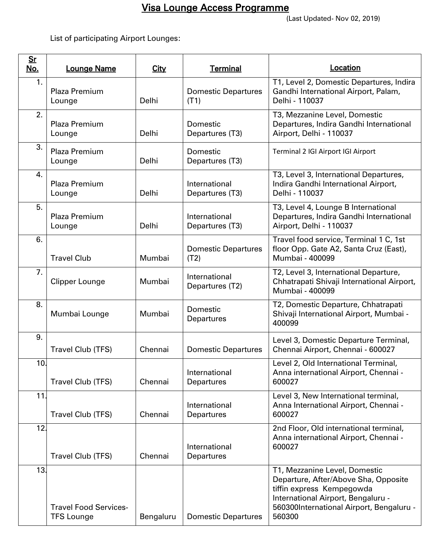## Visa Lounge Access Programme

(Last Updated- Nov 02, 2019)

List of participating Airport Lounges:

| Sr<br><u>No.</u> | <b>Lounge Name</b>                                | <b>City</b> | <b>Terminal</b>                    | <b>Location</b>                                                                                                                                                                                |
|------------------|---------------------------------------------------|-------------|------------------------------------|------------------------------------------------------------------------------------------------------------------------------------------------------------------------------------------------|
| 1.               | Plaza Premium<br>Lounge                           | Delhi       | <b>Domestic Departures</b><br>(T1) | T1, Level 2, Domestic Departures, Indira<br>Gandhi International Airport, Palam,<br>Delhi - 110037                                                                                             |
| 2.               | Plaza Premium<br>Lounge                           | Delhi       | Domestic<br>Departures (T3)        | T3, Mezzanine Level, Domestic<br>Departures, Indira Gandhi International<br>Airport, Delhi - 110037                                                                                            |
| 3.               | Plaza Premium<br>Lounge                           | Delhi       | Domestic<br>Departures (T3)        | Terminal 2 IGI Airport IGI Airport                                                                                                                                                             |
| 4.               | Plaza Premium<br>Lounge                           | Delhi       | International<br>Departures (T3)   | T3, Level 3, International Departures,<br>Indira Gandhi International Airport,<br>Delhi - 110037                                                                                               |
| 5.               | Plaza Premium<br>Lounge                           | Delhi       | International<br>Departures (T3)   | T3, Level 4, Lounge B International<br>Departures, Indira Gandhi International<br>Airport, Delhi - 110037                                                                                      |
| 6.               | <b>Travel Club</b>                                | Mumbai      | <b>Domestic Departures</b><br>(T2) | Travel food service, Terminal 1 C, 1st<br>floor Opp. Gate A2, Santa Cruz (East),<br>Mumbai - 400099                                                                                            |
| 7.               | <b>Clipper Lounge</b>                             | Mumbai      | International<br>Departures (T2)   | T2, Level 3, International Departure,<br>Chhatrapati Shivaji International Airport,<br>Mumbai - 400099                                                                                         |
| 8.               | Mumbai Lounge                                     | Mumbai      | Domestic<br>Departures             | T2, Domestic Departure, Chhatrapati<br>Shivaji International Airport, Mumbai -<br>400099                                                                                                       |
| 9.               | Travel Club (TFS)                                 | Chennai     | <b>Domestic Departures</b>         | Level 3, Domestic Departure Terminal,<br>Chennai Airport, Chennai - 600027                                                                                                                     |
| 10.              | Travel Club (TFS)                                 | Chennai     | International<br>Departures        | Level 2, Old International Terminal,<br>Anna international Airport, Chennai -<br>600027                                                                                                        |
| 11.              | Travel Club (TFS)                                 | Chennai     | International<br>Departures        | Level 3, New International terminal,<br>Anna International Airport, Chennai -<br>600027                                                                                                        |
| 12.              | Travel Club (TFS)                                 | Chennai     | International<br><b>Departures</b> | 2nd Floor, Old international terminal,<br>Anna international Airport, Chennai -<br>600027                                                                                                      |
| 13.              | <b>Travel Food Services-</b><br><b>TFS Lounge</b> | Bengaluru   | <b>Domestic Departures</b>         | T1, Mezzanine Level, Domestic<br>Departure, After/Above Sha, Opposite<br>tiffin express Kempegowda<br>International Airport, Bengaluru -<br>560300International Airport, Bengaluru -<br>560300 |